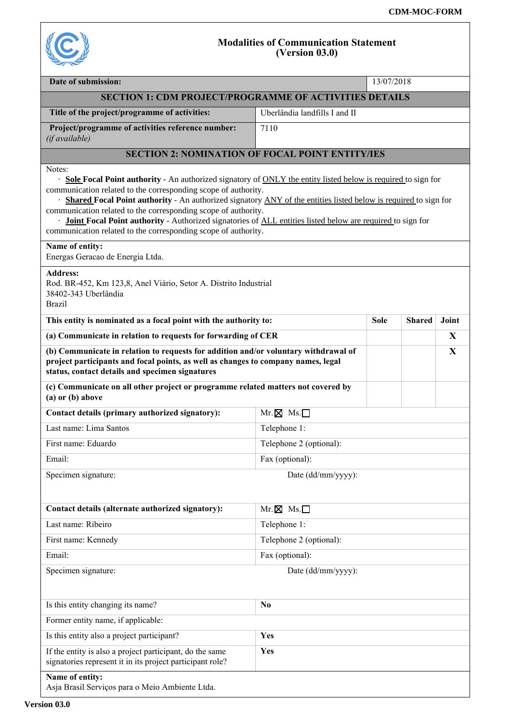

## **Modalities of Communication Statement (Version 03.0)**

| Date of submission:                                                                                                                                                                                                                                                                                                                                                                                                                                                                                                                                                        |                               | 13/07/2018  |               |       |  |  |  |  |
|----------------------------------------------------------------------------------------------------------------------------------------------------------------------------------------------------------------------------------------------------------------------------------------------------------------------------------------------------------------------------------------------------------------------------------------------------------------------------------------------------------------------------------------------------------------------------|-------------------------------|-------------|---------------|-------|--|--|--|--|
| <b>SECTION 1: CDM PROJECT/PROGRAMME OF ACTIVITIES DETAILS</b>                                                                                                                                                                                                                                                                                                                                                                                                                                                                                                              |                               |             |               |       |  |  |  |  |
| Title of the project/programme of activities:                                                                                                                                                                                                                                                                                                                                                                                                                                                                                                                              | Uberlândia landfills I and II |             |               |       |  |  |  |  |
| Project/programme of activities reference number:<br>(if available)                                                                                                                                                                                                                                                                                                                                                                                                                                                                                                        | 7110                          |             |               |       |  |  |  |  |
| <b>SECTION 2: NOMINATION OF FOCAL POINT ENTITY/IES</b>                                                                                                                                                                                                                                                                                                                                                                                                                                                                                                                     |                               |             |               |       |  |  |  |  |
| Notes:<br>· Sole Focal Point authority - An authorized signatory of ONLY the entity listed below is required to sign for<br>communication related to the corresponding scope of authority.<br>· Shared Focal Point authority - An authorized signatory ANY of the entities listed below is required to sign for<br>communication related to the corresponding scope of authority.<br>· <b>Joint Focal Point authority</b> - Authorized signatories of ALL entities listed below are required to sign for<br>communication related to the corresponding scope of authority. |                               |             |               |       |  |  |  |  |
| Name of entity:<br>Energas Geracao de Energia Ltda.                                                                                                                                                                                                                                                                                                                                                                                                                                                                                                                        |                               |             |               |       |  |  |  |  |
| <b>Address:</b><br>Rod. BR-452, Km 123,8, Anel Viário, Setor A. Distrito Industrial<br>38402-343 Uberlândia<br><b>Brazil</b>                                                                                                                                                                                                                                                                                                                                                                                                                                               |                               |             |               |       |  |  |  |  |
| This entity is nominated as a focal point with the authority to:                                                                                                                                                                                                                                                                                                                                                                                                                                                                                                           |                               | <b>Sole</b> | <b>Shared</b> | Joint |  |  |  |  |
| (a) Communicate in relation to requests for forwarding of CER                                                                                                                                                                                                                                                                                                                                                                                                                                                                                                              |                               |             |               | X     |  |  |  |  |
| (b) Communicate in relation to requests for addition and/or voluntary withdrawal of<br>project participants and focal points, as well as changes to company names, legal<br>status, contact details and specimen signatures                                                                                                                                                                                                                                                                                                                                                |                               |             |               | X     |  |  |  |  |
| (c) Communicate on all other project or programme related matters not covered by<br>$(a)$ or $(b)$ above                                                                                                                                                                                                                                                                                                                                                                                                                                                                   |                               |             |               |       |  |  |  |  |
| Contact details (primary authorized signatory):                                                                                                                                                                                                                                                                                                                                                                                                                                                                                                                            | $Mr. \boxtimes Ms. \Box$      |             |               |       |  |  |  |  |
| Last name: Lima Santos                                                                                                                                                                                                                                                                                                                                                                                                                                                                                                                                                     | Telephone 1:                  |             |               |       |  |  |  |  |
| First name: Eduardo                                                                                                                                                                                                                                                                                                                                                                                                                                                                                                                                                        | Telephone 2 (optional):       |             |               |       |  |  |  |  |
| Email:                                                                                                                                                                                                                                                                                                                                                                                                                                                                                                                                                                     | Fax (optional):               |             |               |       |  |  |  |  |
| Specimen signature:                                                                                                                                                                                                                                                                                                                                                                                                                                                                                                                                                        | Date (dd/mm/yyyy):            |             |               |       |  |  |  |  |
|                                                                                                                                                                                                                                                                                                                                                                                                                                                                                                                                                                            |                               |             |               |       |  |  |  |  |
| Contact details (alternate authorized signatory):                                                                                                                                                                                                                                                                                                                                                                                                                                                                                                                          | $Mr. \boxtimes Ms. \Box$      |             |               |       |  |  |  |  |
| Last name: Ribeiro                                                                                                                                                                                                                                                                                                                                                                                                                                                                                                                                                         | Telephone 1:                  |             |               |       |  |  |  |  |
| First name: Kennedy                                                                                                                                                                                                                                                                                                                                                                                                                                                                                                                                                        | Telephone 2 (optional):       |             |               |       |  |  |  |  |
| Email:                                                                                                                                                                                                                                                                                                                                                                                                                                                                                                                                                                     | Fax (optional):               |             |               |       |  |  |  |  |
| Specimen signature:                                                                                                                                                                                                                                                                                                                                                                                                                                                                                                                                                        | Date (dd/mm/yyyy):            |             |               |       |  |  |  |  |
| Is this entity changing its name?                                                                                                                                                                                                                                                                                                                                                                                                                                                                                                                                          | N <sub>0</sub>                |             |               |       |  |  |  |  |
| Former entity name, if applicable:                                                                                                                                                                                                                                                                                                                                                                                                                                                                                                                                         |                               |             |               |       |  |  |  |  |
| Is this entity also a project participant?                                                                                                                                                                                                                                                                                                                                                                                                                                                                                                                                 | Yes                           |             |               |       |  |  |  |  |
| If the entity is also a project participant, do the same<br>signatories represent it in its project participant role?                                                                                                                                                                                                                                                                                                                                                                                                                                                      | Yes                           |             |               |       |  |  |  |  |
| Name of entity:<br>Asja Brasil Serviços para o Meio Ambiente Ltda.                                                                                                                                                                                                                                                                                                                                                                                                                                                                                                         |                               |             |               |       |  |  |  |  |